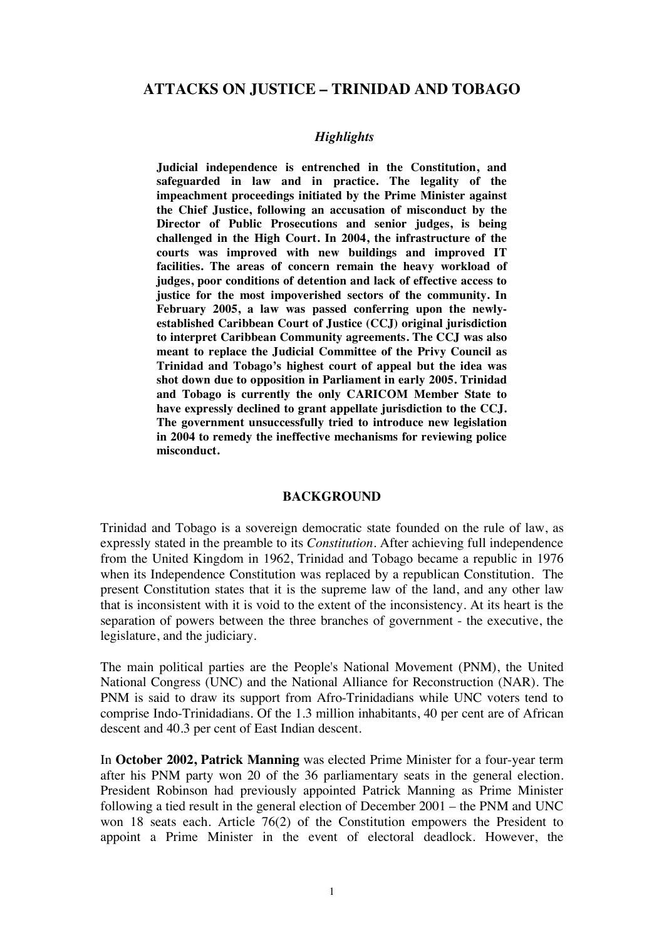## **ATTACKS ON JUSTICE – TRINIDAD AND TOBAGO**

### *Highlights*

**Judicial independence is entrenched in the Constitution, and safeguarded in law and in practice. The legality of the impeachment proceedings initiated by the Prime Minister against the Chief Justice, following an accusation of misconduct by the Director of Public Prosecutions and senior judges, is being challenged in the High Court. In 2004, the infrastructure of the courts was improved with new buildings and improved IT facilities. The areas of concern remain the heavy workload of judges, poor conditions of detention and lack of effective access to justice for the most impoverished sectors of the community. In February 2005, a law was passed conferring upon the newlyestablished Caribbean Court of Justice (CCJ) original jurisdiction to interpret Caribbean Community agreements. The CCJ was also meant to replace the Judicial Committee of the Privy Council as Trinidad and Tobago's highest court of appeal but the idea was shot down due to opposition in Parliament in early 2005. Trinidad and Tobago is currently the only CARICOM Member State to have expressly declined to grant appellate jurisdiction to the CCJ. The government unsuccessfully tried to introduce new legislation in 2004 to remedy the ineffective mechanisms for reviewing police misconduct.**

### **BACKGROUND**

Trinidad and Tobago is a sovereign democratic state founded on the rule of law, as expressly stated in the preamble to its *Constitution*. After achieving full independence from the United Kingdom in 1962, Trinidad and Tobago became a republic in 1976 when its Independence Constitution was replaced by a republican Constitution. The present Constitution states that it is the supreme law of the land, and any other law that is inconsistent with it is void to the extent of the inconsistency. At its heart is the separation of powers between the three branches of government - the executive, the legislature, and the judiciary.

The main political parties are the People's National Movement (PNM), the United National Congress (UNC) and the National Alliance for Reconstruction (NAR). The PNM is said to draw its support from Afro-Trinidadians while UNC voters tend to comprise Indo-Trinidadians. Of the 1.3 million inhabitants, 40 per cent are of African descent and 40.3 per cent of East Indian descent.

In **October 2002, Patrick Manning** was elected Prime Minister for a four-year term after his PNM party won 20 of the 36 parliamentary seats in the general election. President Robinson had previously appointed Patrick Manning as Prime Minister following a tied result in the general election of December 2001 – the PNM and UNC won 18 seats each. Article 76(2) of the Constitution empowers the President to appoint a Prime Minister in the event of electoral deadlock. However, the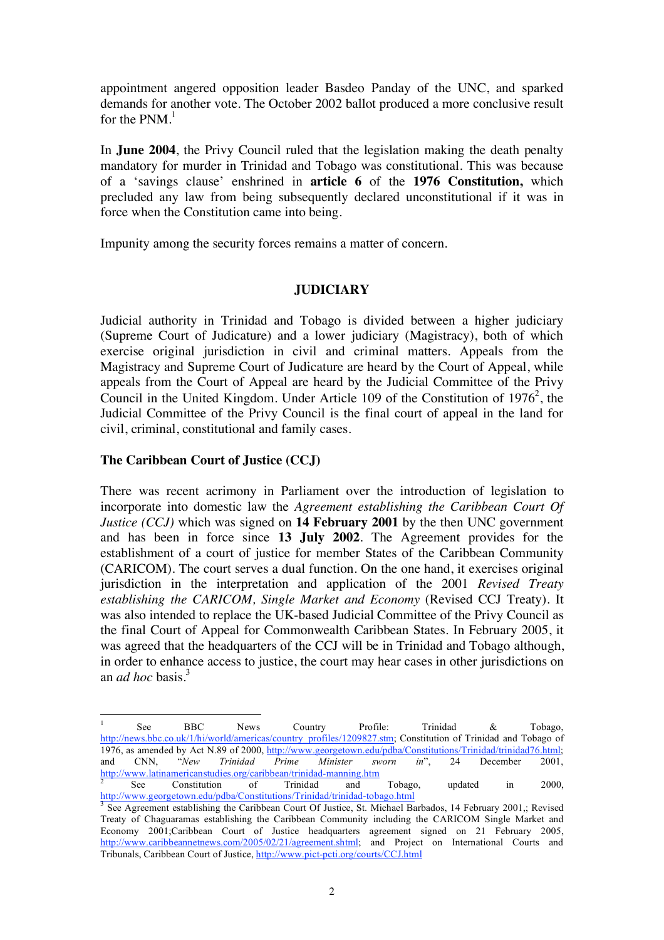appointment angered opposition leader Basdeo Panday of the UNC, and sparked demands for another vote. The October 2002 ballot produced a more conclusive result for the PNM.<sup>1</sup>

In **June 2004**, the Privy Council ruled that the legislation making the death penalty mandatory for murder in Trinidad and Tobago was constitutional. This was because of a 'savings clause' enshrined in **article 6** of the **1976 Constitution,** which precluded any law from being subsequently declared unconstitutional if it was in force when the Constitution came into being.

Impunity among the security forces remains a matter of concern.

## **JUDICIARY**

Judicial authority in Trinidad and Tobago is divided between a higher judiciary (Supreme Court of Judicature) and a lower judiciary (Magistracy), both of which exercise original jurisdiction in civil and criminal matters. Appeals from the Magistracy and Supreme Court of Judicature are heard by the Court of Appeal, while appeals from the Court of Appeal are heard by the Judicial Committee of the Privy Council in the United Kingdom. Under Article 109 of the Constitution of  $1976^2$ , the Judicial Committee of the Privy Council is the final court of appeal in the land for civil, criminal, constitutional and family cases.

## **The Caribbean Court of Justice (CCJ)**

There was recent acrimony in Parliament over the introduction of legislation to incorporate into domestic law the *Agreement establishing the Caribbean Court Of Justice (CCJ)* which was signed on **14 February 2001** by the then UNC government and has been in force since **13 July 2002**. The Agreement provides for the establishment of a court of justice for member States of the Caribbean Community (CARICOM). The court serves a dual function. On the one hand, it exercises original jurisdiction in the interpretation and application of the 2001 *Revised Treaty establishing the CARICOM, Single Market and Economy* (Revised CCJ Treaty). It was also intended to replace the UK-based Judicial Committee of the Privy Council as the final Court of Appeal for Commonwealth Caribbean States. In February 2005, it was agreed that the headquarters of the CCJ will be in Trinidad and Tobago although, in order to enhance access to justice, the court may hear cases in other jurisdictions on an *ad hoc* basis.<sup>3</sup>

 $\frac{1}{1}$ See BBC News Country Profile: Trinidad & Tobago, http://news.bbc.co.uk/1/hi/world/americas/country\_profiles/1209827.stm; Constitution of Trinidad and Tobago of 1976, as amended by Act N.89 of 2000, http://www.georgetown.edu/pdba/Constitutions/Trinidad/trinidad76.html; and CNN, "*New Trinidad Prime Minister sworn in*", 24 December 2001,  $\frac{http://www.latinamericanstudies.org/caribbean/trinidad-manning.htm}{2}$ <br>See Constitution of Trinidad and

See Constitution of Trinidad and Tobago, updated in 2000, http://www.georgetown.edu/pdba/Constitutions/Trinidad/trinidad-tobago.html<br><sup>3</sup> See Agreement establishing the Ceribbeen Ceurt Of Justice, St. Michael Br

See Agreement establishing the Caribbean Court Of Justice, St. Michael Barbados, 14 February 2001,; Revised Treaty of Chaguaramas establishing the Caribbean Community including the CARICOM Single Market and Economy 2001;Caribbean Court of Justice headquarters agreement signed on 21 February 2005, http://www.caribbeannetnews.com/2005/02/21/agreement.shtml; and Project on International Courts and Tribunals, Caribbean Court of Justice, http://www.pict-pcti.org/courts/CCJ.html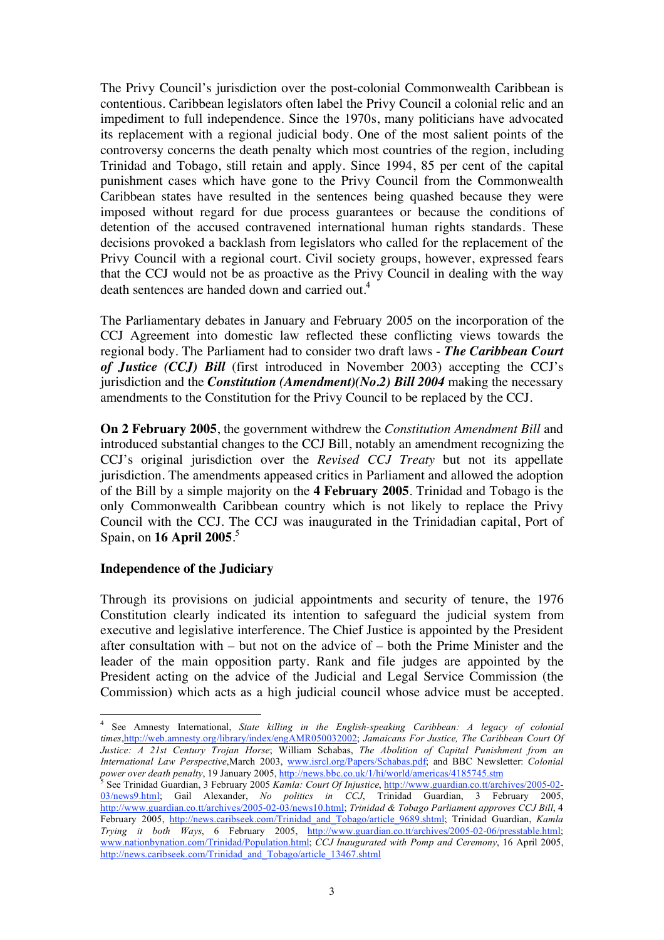The Privy Council's jurisdiction over the post-colonial Commonwealth Caribbean is contentious. Caribbean legislators often label the Privy Council a colonial relic and an impediment to full independence. Since the 1970s, many politicians have advocated its replacement with a regional judicial body. One of the most salient points of the controversy concerns the death penalty which most countries of the region, including Trinidad and Tobago, still retain and apply. Since 1994, 85 per cent of the capital punishment cases which have gone to the Privy Council from the Commonwealth Caribbean states have resulted in the sentences being quashed because they were imposed without regard for due process guarantees or because the conditions of detention of the accused contravened international human rights standards. These decisions provoked a backlash from legislators who called for the replacement of the Privy Council with a regional court. Civil society groups, however, expressed fears that the CCJ would not be as proactive as the Privy Council in dealing with the way death sentences are handed down and carried out.<sup>4</sup>

The Parliamentary debates in January and February 2005 on the incorporation of the CCJ Agreement into domestic law reflected these conflicting views towards the regional body. The Parliament had to consider two draft laws - *The Caribbean Court of Justice (CCJ) Bill* (first introduced in November 2003) accepting the CCJ's jurisdiction and the *Constitution (Amendment)(No.2) Bill 2004* making the necessary amendments to the Constitution for the Privy Council to be replaced by the CCJ.

**On 2 February 2005**, the government withdrew the *Constitution Amendment Bill* and introduced substantial changes to the CCJ Bill, notably an amendment recognizing the CCJ's original jurisdiction over the *Revised CCJ Treaty* but not its appellate jurisdiction. The amendments appeased critics in Parliament and allowed the adoption of the Bill by a simple majority on the **4 February 2005**. Trinidad and Tobago is the only Commonwealth Caribbean country which is not likely to replace the Privy Council with the CCJ. The CCJ was inaugurated in the Trinidadian capital, Port of Spain, on **16 April 2005**. 5

## **Independence of the Judiciary**

Through its provisions on judicial appointments and security of tenure, the 1976 Constitution clearly indicated its intention to safeguard the judicial system from executive and legislative interference. The Chief Justice is appointed by the President after consultation with – but not on the advice of – both the Prime Minister and the leader of the main opposition party. Rank and file judges are appointed by the President acting on the advice of the Judicial and Legal Service Commission (the Commission) which acts as a high judicial council whose advice must be accepted.

 $\frac{1}{4}$  See Amnesty International, *State killing in the English-speaking Caribbean: A legacy of colonial times*,http://web.amnesty.org/library/index/engAMR050032002; *Jamaicans For Justice, The Caribbean Court Of Justice: A 21st Century Trojan Horse*; William Schabas, *The Abolition of Capital Punishment from an International Law Perspective*,March 2003, www.isrcl.org/Papers/Schabas.pdf; and BBC Newsletter: *Colonial power over death penalty*, 19 January 2005, <u>http://news.bbc.co.uk/1/hi/world/americas/4185745.stm</u>

See Trinidad Guardian, 3 February 2005 *Kamla: Court Of Injustice*, http://www.guardian.co.tt/archives/2005-02- 03/news9.html; Gail Alexander, *No politics in CCJ*, Trinidad Guardian, 3 February 2005, http://www.guardian.co.tt/archives/2005-02-03/news10.html; *Trinidad & Tobago Parliament approves CCJ Bill*, 4 February 2005, http://news.caribseek.com/Trinidad\_and\_Tobago/article\_9689.shtml; Trinidad Guardian, *Kamla Trying it both Ways*, 6 February 2005, http://www.guardian.co.tt/archives/2005-02-06/presstable.html; www.nationbynation.com/Trinidad/Population.html; *CCJ Inaugurated with Pomp and Ceremony*, 16 April 2005, http://news.caribseek.com/Trinidad\_and\_Tobago/article\_13467.shtml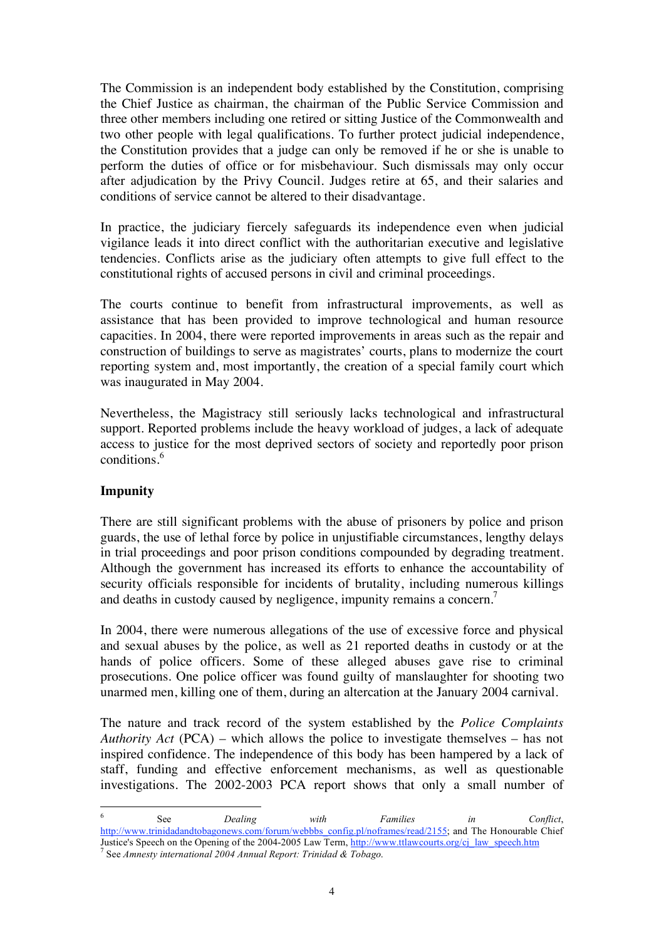The Commission is an independent body established by the Constitution, comprising the Chief Justice as chairman, the chairman of the Public Service Commission and three other members including one retired or sitting Justice of the Commonwealth and two other people with legal qualifications. To further protect judicial independence, the Constitution provides that a judge can only be removed if he or she is unable to perform the duties of office or for misbehaviour. Such dismissals may only occur after adjudication by the Privy Council. Judges retire at 65, and their salaries and conditions of service cannot be altered to their disadvantage.

In practice, the judiciary fiercely safeguards its independence even when judicial vigilance leads it into direct conflict with the authoritarian executive and legislative tendencies. Conflicts arise as the judiciary often attempts to give full effect to the constitutional rights of accused persons in civil and criminal proceedings.

The courts continue to benefit from infrastructural improvements, as well as assistance that has been provided to improve technological and human resource capacities. In 2004, there were reported improvements in areas such as the repair and construction of buildings to serve as magistrates' courts, plans to modernize the court reporting system and, most importantly, the creation of a special family court which was inaugurated in May 2004.

Nevertheless, the Magistracy still seriously lacks technological and infrastructural support. Reported problems include the heavy workload of judges, a lack of adequate access to justice for the most deprived sectors of society and reportedly poor prison conditions.<sup>6</sup>

# **Impunity**

There are still significant problems with the abuse of prisoners by police and prison guards, the use of lethal force by police in unjustifiable circumstances, lengthy delays in trial proceedings and poor prison conditions compounded by degrading treatment. Although the government has increased its efforts to enhance the accountability of security officials responsible for incidents of brutality, including numerous killings and deaths in custody caused by negligence, impunity remains a concern.<sup>7</sup>

In 2004, there were numerous allegations of the use of excessive force and physical and sexual abuses by the police, as well as 21 reported deaths in custody or at the hands of police officers. Some of these alleged abuses gave rise to criminal prosecutions. One police officer was found guilty of manslaughter for shooting two unarmed men, killing one of them, during an altercation at the January 2004 carnival.

The nature and track record of the system established by the *Police Complaints Authority Act* (PCA) – which allows the police to investigate themselves – has not inspired confidence. The independence of this body has been hampered by a lack of staff, funding and effective enforcement mechanisms, as well as questionable investigations. The 2002-2003 PCA report shows that only a small number of

6 See *Dealing with Families in Conflict*, http://www.trinidadandtobagonews.com/forum/webbbs\_config.pl/noframes/read/2155; and The Honourable Chief Justice's Speech on the Opening of the 2004-2005 Law Term, http://www.ttlawcourts.org/cj\_law\_speech.htm <sup>7</sup> See *Amnesty international 2004 Annual Report: Trinidad & Tobago*.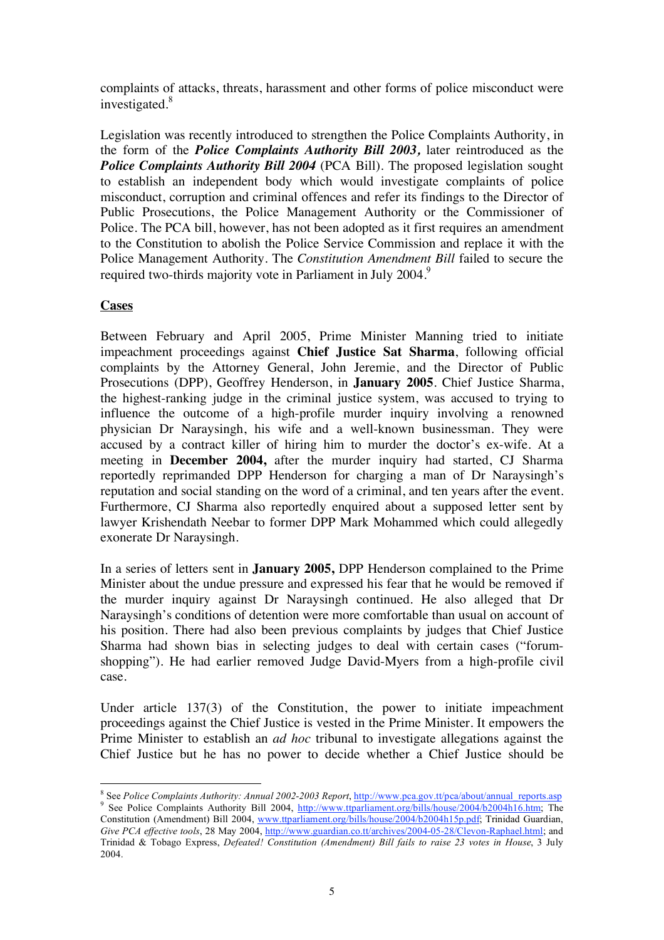complaints of attacks, threats, harassment and other forms of police misconduct were investigated.<sup>8</sup>

Legislation was recently introduced to strengthen the Police Complaints Authority, in the form of the *Police Complaints Authority Bill 2003,* later reintroduced as the *Police Complaints Authority Bill 2004* (PCA Bill). The proposed legislation sought to establish an independent body which would investigate complaints of police misconduct, corruption and criminal offences and refer its findings to the Director of Public Prosecutions, the Police Management Authority or the Commissioner of Police. The PCA bill, however, has not been adopted as it first requires an amendment to the Constitution to abolish the Police Service Commission and replace it with the Police Management Authority. The *Constitution Amendment Bill* failed to secure the required two-thirds majority vote in Parliament in July 2004.<sup>9</sup>

## **Cases**

Between February and April 2005, Prime Minister Manning tried to initiate impeachment proceedings against **Chief Justice Sat Sharma**, following official complaints by the Attorney General, John Jeremie, and the Director of Public Prosecutions (DPP), Geoffrey Henderson, in **January 2005**. Chief Justice Sharma, the highest-ranking judge in the criminal justice system, was accused to trying to influence the outcome of a high-profile murder inquiry involving a renowned physician Dr Naraysingh, his wife and a well-known businessman. They were accused by a contract killer of hiring him to murder the doctor's ex-wife. At a meeting in **December 2004,** after the murder inquiry had started, CJ Sharma reportedly reprimanded DPP Henderson for charging a man of Dr Naraysingh's reputation and social standing on the word of a criminal, and ten years after the event. Furthermore, CJ Sharma also reportedly enquired about a supposed letter sent by lawyer Krishendath Neebar to former DPP Mark Mohammed which could allegedly exonerate Dr Naraysingh.

In a series of letters sent in **January 2005,** DPP Henderson complained to the Prime Minister about the undue pressure and expressed his fear that he would be removed if the murder inquiry against Dr Naraysingh continued. He also alleged that Dr Naraysingh's conditions of detention were more comfortable than usual on account of his position. There had also been previous complaints by judges that Chief Justice Sharma had shown bias in selecting judges to deal with certain cases ("forumshopping"). He had earlier removed Judge David-Myers from a high-profile civil case.

Under article 137(3) of the Constitution, the power to initiate impeachment proceedings against the Chief Justice is vested in the Prime Minister. It empowers the Prime Minister to establish an *ad hoc* tribunal to investigate allegations against the Chief Justice but he has no power to decide whether a Chief Justice should be

8 <sup>8</sup> See *Police Complaints Authority: Annual 2002-2003 Report*, http://www.pca.gov.tt/pca/about/annual\_reports.asp <sup>9</sup> See Police Complaints Authority Bill 2004, http://www.ttparliament.org/bills/house/2004/b2004h16.htm; The Constitution (Amendment) Bill 2004, www.ttparliament.org/bills/house/2004/b2004h15p.pdf; Trinidad Guardian, *Give PCA effective tools*, 28 May 2004, http://www.guardian.co.tt/archives/2004-05-28/Clevon-Raphael.html; and Trinidad & Tobago Express, *Defeated! Constitution (Amendment) Bill fails to raise 23 votes in House*, 3 July 2004.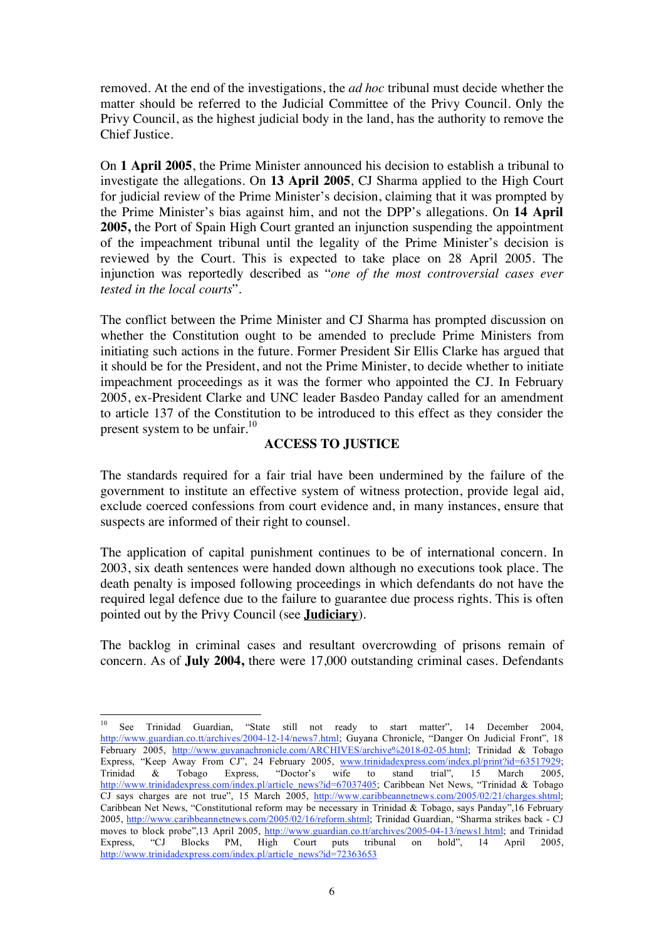removed. At the end of the investigations, the *ad hoc* tribunal must decide whether the matter should be referred to the Judicial Committee of the Privy Council. Only the Privy Council, as the highest judicial body in the land, has the authority to remove the Chief Justice.

On **1 April 2005**, the Prime Minister announced his decision to establish a tribunal to investigate the allegations. On **13 April 2005**, CJ Sharma applied to the High Court for judicial review of the Prime Minister's decision, claiming that it was prompted by the Prime Minister's bias against him, and not the DPP's allegations. On **14 April 2005,** the Port of Spain High Court granted an injunction suspending the appointment of the impeachment tribunal until the legality of the Prime Minister's decision is reviewed by the Court. This is expected to take place on 28 April 2005. The injunction was reportedly described as "*one of the most controversial cases ever tested in the local courts*".

The conflict between the Prime Minister and CJ Sharma has prompted discussion on whether the Constitution ought to be amended to preclude Prime Ministers from initiating such actions in the future. Former President Sir Ellis Clarke has argued that it should be for the President, and not the Prime Minister, to decide whether to initiate impeachment proceedings as it was the former who appointed the CJ. In February 2005, ex-President Clarke and UNC leader Basdeo Panday called for an amendment to article 137 of the Constitution to be introduced to this effect as they consider the present system to be unfair. $^{10}$ 

# **ACCESS TO JUSTICE**

The standards required for a fair trial have been undermined by the failure of the government to institute an effective system of witness protection, provide legal aid, exclude coerced confessions from court evidence and, in many instances, ensure that suspects are informed of their right to counsel.

The application of capital punishment continues to be of international concern. In 2003, six death sentences were handed down although no executions took place. The death penalty is imposed following proceedings in which defendants do not have the required legal defence due to the failure to guarantee due process rights. This is often pointed out by the Privy Council (see **Judiciary**).

The backlog in criminal cases and resultant overcrowding of prisons remain of concern. As of **July 2004,** there were 17,000 outstanding criminal cases. Defendants

<sup>&</sup>lt;sup>10</sup> See Trinidad Guardian, "State still not ready to start matter", 14 December 2004, http://www.guardian.co.tt/archives/2004-12-14/news7.html; Guyana Chronicle, "Danger On Judicial Front", 18 February 2005, http://www.guyanachronicle.com/ARCHIVES/archive%2018-02-05.html; Trinidad & Tobago Express, "Keep Away From CJ", 24 February 2005, www.trinidadexpress.com/index.pl/print?id=63517929; Trinidad & Tobago Express, "Doctor's wife to stand trial", 15 March 2005, http://www.trinidadexpress.com/index.pl/article\_news?id=67037405; Caribbean Net News, "Trinidad & Tobago CJ says charges are not true", 15 March 2005, http://www.caribbeannetnews.com/2005/02/21/charges.shtml; Caribbean Net News, "Constitutional reform may be necessary in Trinidad & Tobago, says Panday",16 February 2005, http://www.caribbeannetnews.com/2005/02/16/reform.shtml; Trinidad Guardian, "Sharma strikes back - CJ moves to block probe",13 April 2005, http://www.guardian.co.tt/archives/2005-04-13/news1.html; and Trinidad Express, "CJ Blocks PM, High Court puts tribunal on hold", 14 April 2005, http://www.trinidadexpress.com/index.pl/article\_news?id=72363653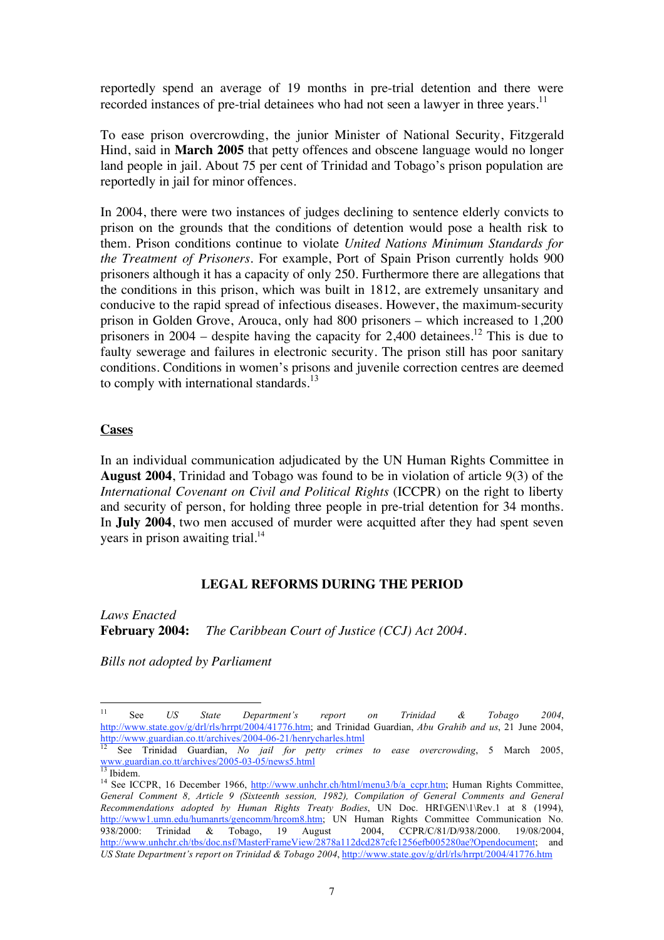reportedly spend an average of 19 months in pre-trial detention and there were recorded instances of pre-trial detainees who had not seen a lawyer in three years.<sup>11</sup>

To ease prison overcrowding, the junior Minister of National Security, Fitzgerald Hind, said in **March 2005** that petty offences and obscene language would no longer land people in jail. About 75 per cent of Trinidad and Tobago's prison population are reportedly in jail for minor offences.

In 2004, there were two instances of judges declining to sentence elderly convicts to prison on the grounds that the conditions of detention would pose a health risk to them. Prison conditions continue to violate *United Nations Minimum Standards for the Treatment of Prisoners*. For example, Port of Spain Prison currently holds 900 prisoners although it has a capacity of only 250. Furthermore there are allegations that the conditions in this prison, which was built in 1812, are extremely unsanitary and conducive to the rapid spread of infectious diseases. However, the maximum-security prison in Golden Grove, Arouca, only had 800 prisoners – which increased to 1,200 prisoners in  $2004$  – despite having the capacity for 2,400 detainees.<sup>12</sup> This is due to faulty sewerage and failures in electronic security. The prison still has poor sanitary conditions. Conditions in women's prisons and juvenile correction centres are deemed to comply with international standards. $^{13}$ 

#### **Cases**

In an individual communication adjudicated by the UN Human Rights Committee in **August 2004**, Trinidad and Tobago was found to be in violation of article 9(3) of the *International Covenant on Civil and Political Rights* (ICCPR) on the right to liberty and security of person, for holding three people in pre-trial detention for 34 months. In **July 2004**, two men accused of murder were acquitted after they had spent seven years in prison awaiting trial. $^{14}$ 

#### **LEGAL REFORMS DURING THE PERIOD**

*Laws Enacted* **February 2004:** *The Caribbean Court of Justice (CCJ) Act 2004.*

*Bills not adopted by Parliament* 

<sup>11</sup> See *US State Department's report on Trinidad & Tobago 2004*, http://www.state.gov/g/drl/rls/hrrpt/2004/41776.htm; and Trinidad Guardian, *Abu Grahib and us*, 21 June 2004,

http://www.guardian.co.tt/archives/2004-06-21/henrycharles.html<br>
<sup>12</sup> See Trinidad Guardian, *No jail for petty crimes to ease overcrowding*, 5 March 2005,<br>
<u><sup>13</sup> Thistory guardian.co.tt/archives/2005-03-05/news5.html</u>

<sup>&</sup>lt;sup>13</sup> Ibidem.<br><sup>14</sup> See ICCPR, 16 December 1966, <u>http://www.unhchr.ch/html/menu3/b/a\_ccpr.htm</u>; Human Rights Committee, *General Comment 8, Article 9 (Sixteenth session, 1982), Compilation of General Comments and General Recommendations adopted by Human Rights Treaty Bodies*, UN Doc. HRI\GEN\1\Rev.1 at 8 (1994), http://www1.umn.edu/humanrts/gencomm/hrcom8.htm; UN Human Rights Committee Communication No.<br>938/2000: Trinidad & Tobago, 19 August 2004, CCPR/C/81/D/938/2000. 19/08/2004, 938/2000: Trinidad & Tobago, 19 August 2004, http://www.unhchr.ch/tbs/doc.nsf/MasterFrameView/2878a112dcd287cfc1256efb005280ae?Opendocument; and *US State Department's report on Trinidad & Tobago 2004*, http://www.state.gov/g/drl/rls/hrrpt/2004/41776.htm